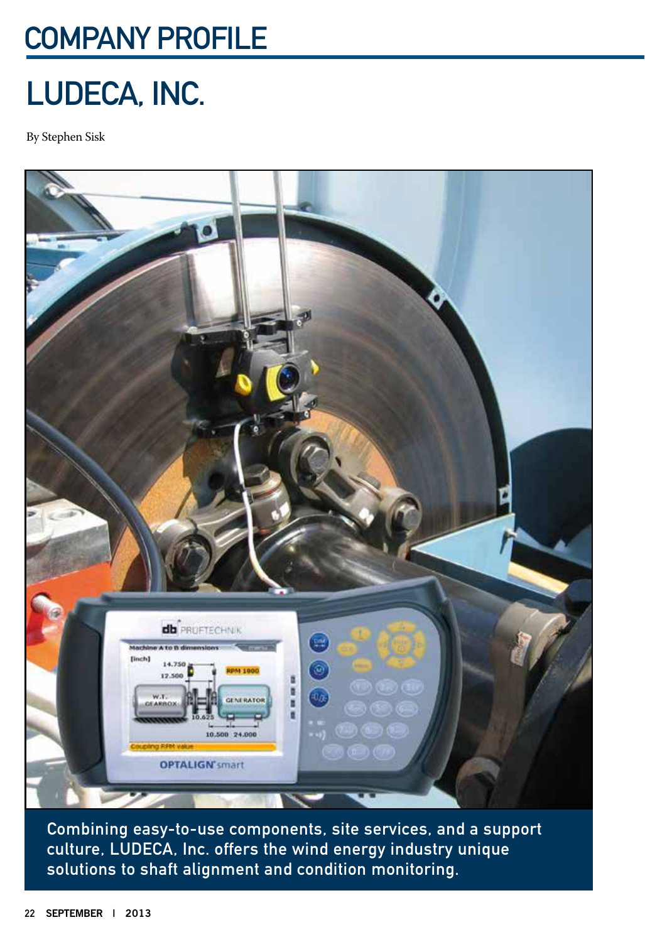## Company PROFILE

## LUDECA, Inc.

By Stephen Sisk



Combining easy-to-use components, site services, and a support culture, LUDECA, Inc. offers the wind energy industry unique solutions to shaft alignment and condition monitoring.